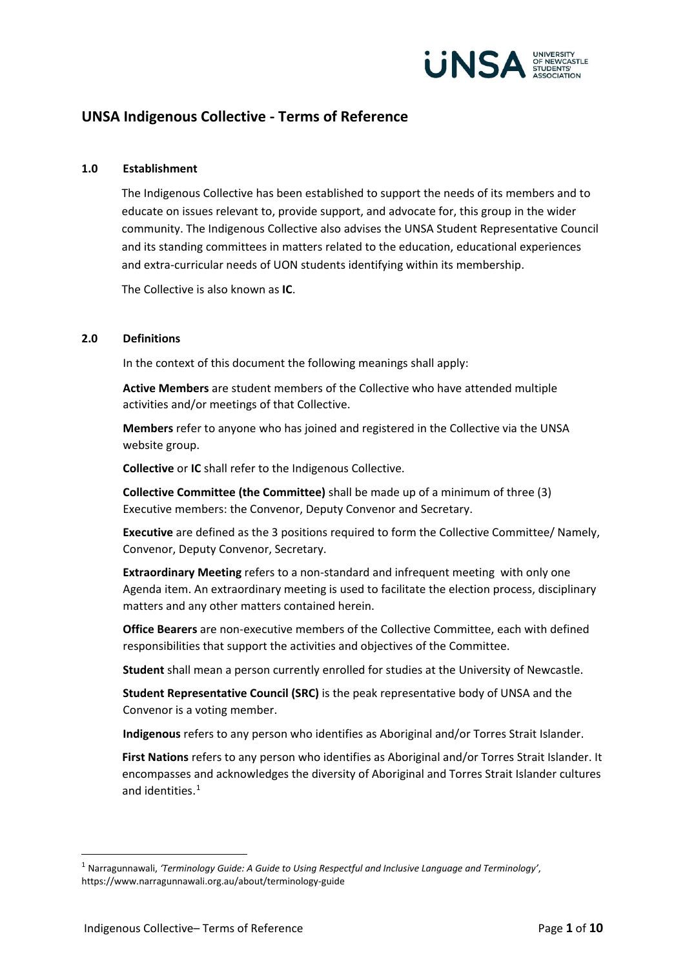

# **UNSA Indigenous Collective - Terms of Reference**

#### **1.0 Establishment**

The Indigenous Collective has been established to support the needs of its members and to educate on issues relevant to, provide support, and advocate for, this group in the wider community. The Indigenous Collective also advises the UNSA Student Representative Council and its standing committees in matters related to the education, educational experiences and extra-curricular needs of UON students identifying within its membership.

The Collective is also known as **IC**.

#### **2.0 Definitions**

In the context of this document the following meanings shall apply:

**Active Members** are student members of the Collective who have attended multiple activities and/or meetings of that Collective.

**Members** refer to anyone who has joined and registered in the Collective via the UNSA website group.

**Collective** or **IC** shall refer to the Indigenous Collective.

**Collective Committee (the Committee)** shall be made up of a minimum of three (3) Executive members: the Convenor, Deputy Convenor and Secretary.

**Executive** are defined as the 3 positions required to form the Collective Committee/ Namely, Convenor, Deputy Convenor, Secretary.

**Extraordinary Meeting** refers to a non-standard and infrequent meeting with only one Agenda item. An extraordinary meeting is used to facilitate the election process, disciplinary matters and any other matters contained herein.

**Office Bearers** are non-executive members of the Collective Committee, each with defined responsibilities that support the activities and objectives of the Committee.

**Student** shall mean a person currently enrolled for studies at the University of Newcastle.

**Student Representative Council (SRC)** is the peak representative body of UNSA and the Convenor is a voting member.

**Indigenous** refers to any person who identifies as Aboriginal and/or Torres Strait Islander.

**First Nations** refers to any person who identifies as Aboriginal and/or Torres Strait Islander. It encompasses and acknowledges the diversity of Aboriginal and Torres Strait Islander cultures and identities.<sup>[1](#page-0-0)</sup>

<span id="page-0-0"></span><sup>1</sup> Narragunnawali, *'Terminology Guide: A Guide to Using Respectful and Inclusive Language and Terminology'*, https://www.narragunnawali.org.au/about/terminology-guide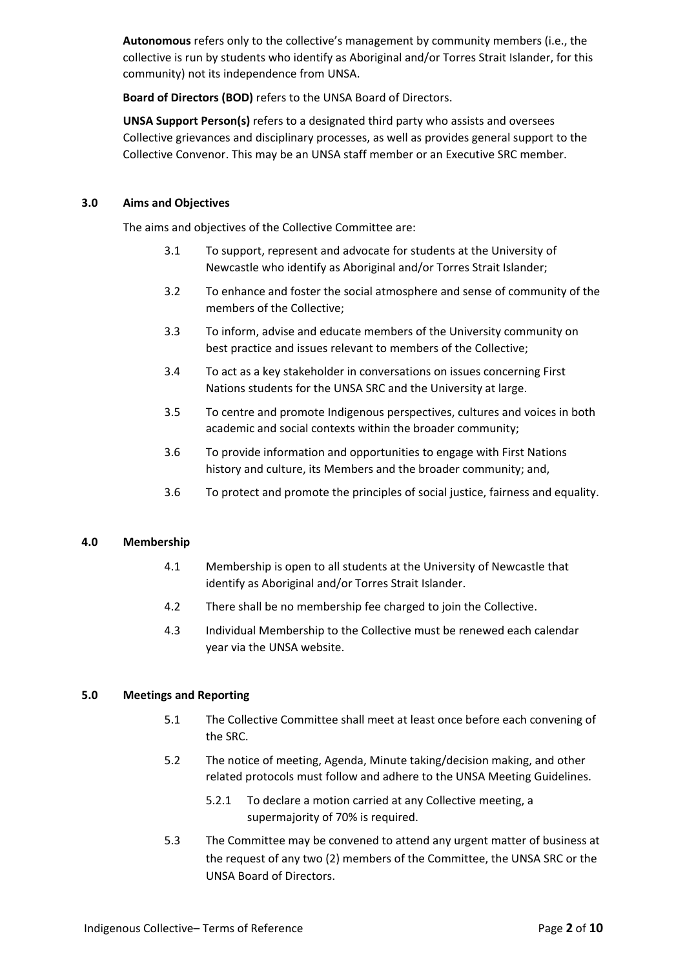**Autonomous** refers only to the collective's management by community members (i.e., the collective is run by students who identify as Aboriginal and/or Torres Strait Islander, for this community) not its independence from UNSA.

**Board of Directors (BOD)** refers to the UNSA Board of Directors.

**UNSA Support Person(s)** refers to a designated third party who assists and oversees Collective grievances and disciplinary processes, as well as provides general support to the Collective Convenor. This may be an UNSA staff member or an Executive SRC member.

#### **3.0 Aims and Objectives**

The aims and objectives of the Collective Committee are:

- 3.1 To support, represent and advocate for students at the University of Newcastle who identify as Aboriginal and/or Torres Strait Islander;
- 3.2 To enhance and foster the social atmosphere and sense of community of the members of the Collective;
- 3.3 To inform, advise and educate members of the University community on best practice and issues relevant to members of the Collective;
- 3.4 To act as a key stakeholder in conversations on issues concerning First Nations students for the UNSA SRC and the University at large.
- 3.5 To centre and promote Indigenous perspectives, cultures and voices in both academic and social contexts within the broader community;
- 3.6 To provide information and opportunities to engage with First Nations history and culture, its Members and the broader community; and,
- 3.6 To protect and promote the principles of social justice, fairness and equality.

#### **4.0 Membership**

- 4.1 Membership is open to all students at the University of Newcastle that identify as Aboriginal and/or Torres Strait Islander.
- 4.2 There shall be no membership fee charged to join the Collective.
- 4.3 Individual Membership to the Collective must be renewed each calendar year via the UNSA website.

### **5.0 Meetings and Reporting**

- 5.1 The Collective Committee shall meet at least once before each convening of the SRC.
- 5.2 The notice of meeting, Agenda, Minute taking/decision making, and other related protocols must follow and adhere to the UNSA Meeting Guidelines.
	- 5.2.1 To declare a motion carried at any Collective meeting, a supermajority of 70% is required.
- 5.3 The Committee may be convened to attend any urgent matter of business at the request of any two (2) members of the Committee, the UNSA SRC or the UNSA Board of Directors.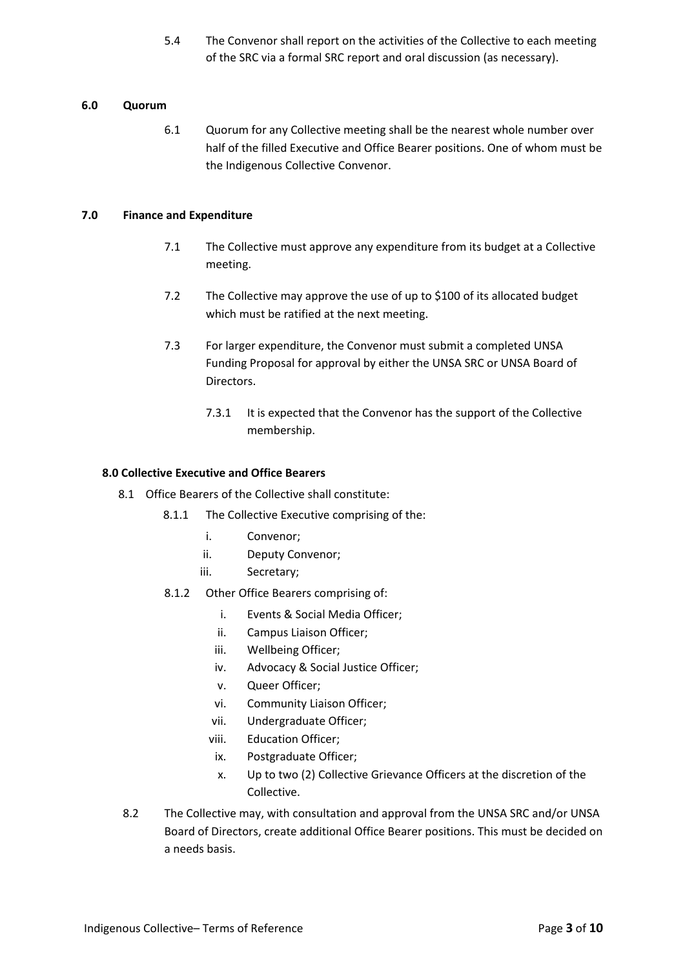5.4 The Convenor shall report on the activities of the Collective to each meeting of the SRC via a formal SRC report and oral discussion (as necessary).

## **6.0 Quorum**

6.1 Quorum for any Collective meeting shall be the nearest whole number over half of the filled Executive and Office Bearer positions. One of whom must be the Indigenous Collective Convenor.

## **7.0 Finance and Expenditure**

- 7.1 The Collective must approve any expenditure from its budget at a Collective meeting.
- 7.2 The Collective may approve the use of up to \$100 of its allocated budget which must be ratified at the next meeting.
- 7.3 For larger expenditure, the Convenor must submit a completed UNSA Funding Proposal for approval by either the UNSA SRC or UNSA Board of Directors.
	- 7.3.1 It is expected that the Convenor has the support of the Collective membership.

## **8.0 Collective Executive and Office Bearers**

- 8.1 Office Bearers of the Collective shall constitute:
	- 8.1.1 The Collective Executive comprising of the:
		- i. Convenor;
		- ii. Deputy Convenor;
		- iii. Secretary;
	- 8.1.2 Other Office Bearers comprising of:
		- i. Events & Social Media Officer;
		- ii. Campus Liaison Officer;
		- iii. Wellbeing Officer;
		- iv. Advocacy & Social Justice Officer;
		- v. Queer Officer;
		- vi. Community Liaison Officer;
		- vii. Undergraduate Officer;
		- viii. Education Officer;
		- ix. Postgraduate Officer;
		- x. Up to two (2) Collective Grievance Officers at the discretion of the Collective.
- 8.2 The Collective may, with consultation and approval from the UNSA SRC and/or UNSA Board of Directors, create additional Office Bearer positions. This must be decided on a needs basis.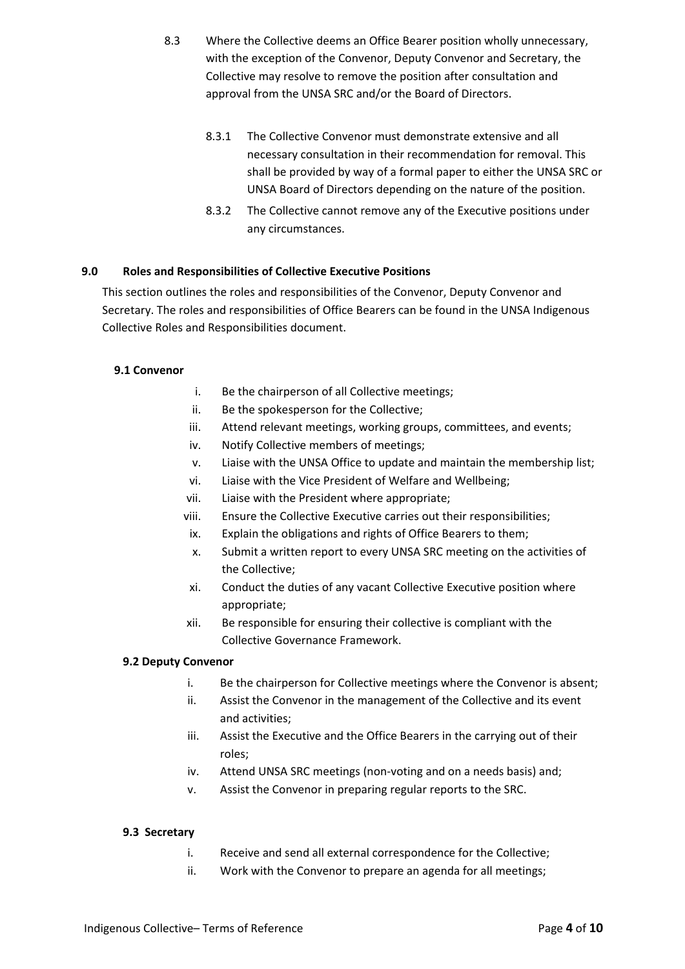- 8.3 Where the Collective deems an Office Bearer position wholly unnecessary, with the exception of the Convenor, Deputy Convenor and Secretary, the Collective may resolve to remove the position after consultation and approval from the UNSA SRC and/or the Board of Directors.
	- 8.3.1 The Collective Convenor must demonstrate extensive and all necessary consultation in their recommendation for removal. This shall be provided by way of a formal paper to either the UNSA SRC or UNSA Board of Directors depending on the nature of the position.
	- 8.3.2 The Collective cannot remove any of the Executive positions under any circumstances.

## **9.0 Roles and Responsibilities of Collective Executive Positions**

This section outlines the roles and responsibilities of the Convenor, Deputy Convenor and Secretary. The roles and responsibilities of Office Bearers can be found in the UNSA Indigenous Collective Roles and Responsibilities document.

## **9.1 Convenor**

- i. Be the chairperson of all Collective meetings;
- ii. Be the spokesperson for the Collective;
- iii. Attend relevant meetings, working groups, committees, and events;
- iv. Notify Collective members of meetings;
- v. Liaise with the UNSA Office to update and maintain the membership list;
- vi. Liaise with the Vice President of Welfare and Wellbeing;
- vii. Liaise with the President where appropriate;
- viii. Ensure the Collective Executive carries out their responsibilities;
- ix. Explain the obligations and rights of Office Bearers to them;
- x. Submit a written report to every UNSA SRC meeting on the activities of the Collective;
- xi. Conduct the duties of any vacant Collective Executive position where appropriate;
- xii. Be responsible for ensuring their collective is compliant with the Collective Governance Framework.

### **9.2 Deputy Convenor**

- i. Be the chairperson for Collective meetings where the Convenor is absent;
- ii. Assist the Convenor in the management of the Collective and its event and activities;
- iii. Assist the Executive and the Office Bearers in the carrying out of their roles;
- iv. Attend UNSA SRC meetings (non-voting and on a needs basis) and;
- v. Assist the Convenor in preparing regular reports to the SRC.

### **9.3 Secretary**

- i. Receive and send all external correspondence for the Collective;
- ii. Work with the Convenor to prepare an agenda for all meetings;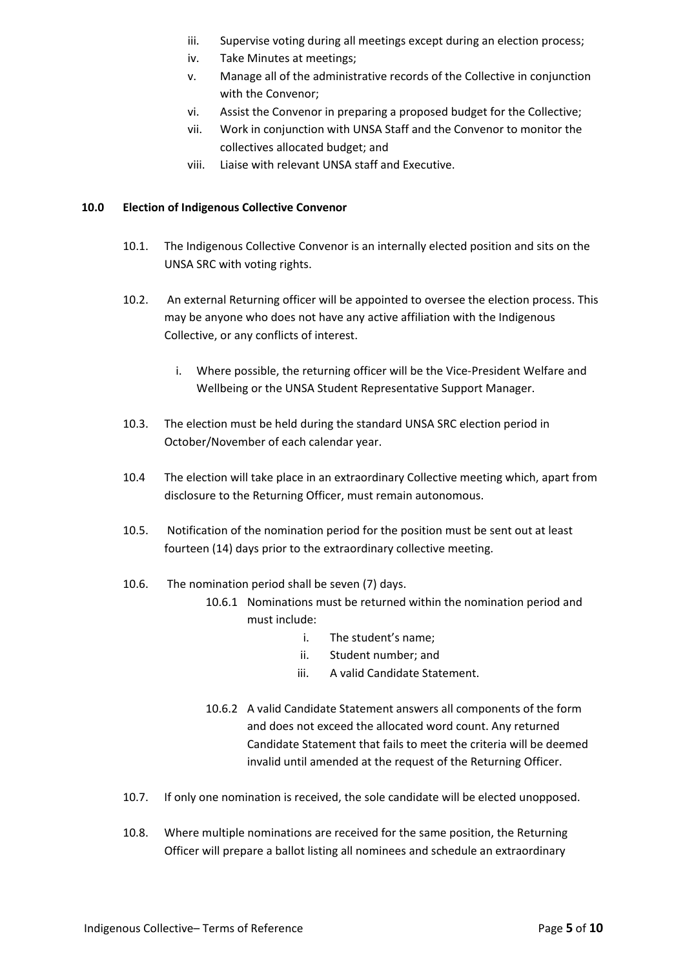- iii. Supervise voting during all meetings except during an election process;
- iv. Take Minutes at meetings;
- v. Manage all of the administrative records of the Collective in conjunction with the Convenor;
- vi. Assist the Convenor in preparing a proposed budget for the Collective;
- vii. Work in conjunction with UNSA Staff and the Convenor to monitor the collectives allocated budget; and
- viii. Liaise with relevant UNSA staff and Executive.

### **10.0 Election of Indigenous Collective Convenor**

- 10.1. The Indigenous Collective Convenor is an internally elected position and sits on the UNSA SRC with voting rights.
- 10.2. An external Returning officer will be appointed to oversee the election process. This may be anyone who does not have any active affiliation with the Indigenous Collective, or any conflicts of interest.
	- i. Where possible, the returning officer will be the Vice-President Welfare and Wellbeing or the UNSA Student Representative Support Manager.
- 10.3. The election must be held during the standard UNSA SRC election period in October/November of each calendar year.
- 10.4 The election will take place in an extraordinary Collective meeting which, apart from disclosure to the Returning Officer, must remain autonomous.
- 10.5. Notification of the nomination period for the position must be sent out at least fourteen (14) days prior to the extraordinary collective meeting.
- 10.6. The nomination period shall be seven (7) days.
	- 10.6.1 Nominations must be returned within the nomination period and must include:
		- i. The student's name;
		- ii. Student number; and
		- iii. A valid Candidate Statement.
		- 10.6.2 A valid Candidate Statement answers all components of the form and does not exceed the allocated word count. Any returned Candidate Statement that fails to meet the criteria will be deemed invalid until amended at the request of the Returning Officer.
- 10.7. If only one nomination is received, the sole candidate will be elected unopposed.
- 10.8. Where multiple nominations are received for the same position, the Returning Officer will prepare a ballot listing all nominees and schedule an extraordinary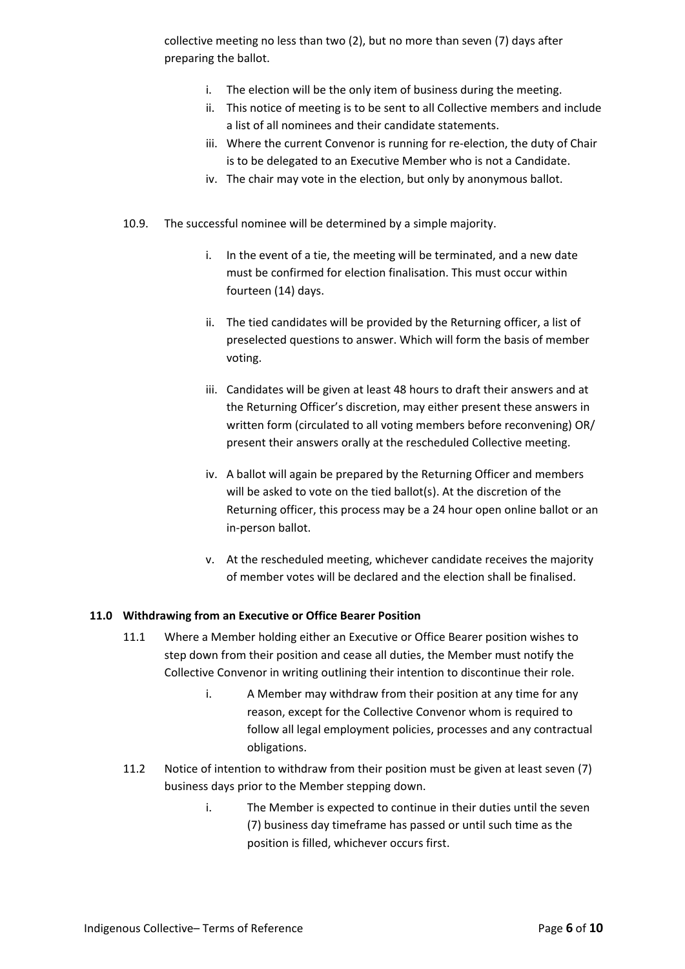collective meeting no less than two (2), but no more than seven (7) days after preparing the ballot.

- i. The election will be the only item of business during the meeting.
- ii. This notice of meeting is to be sent to all Collective members and include a list of all nominees and their candidate statements.
- iii. Where the current Convenor is running for re-election, the duty of Chair is to be delegated to an Executive Member who is not a Candidate.
- iv. The chair may vote in the election, but only by anonymous ballot.
- 10.9. The successful nominee will be determined by a simple majority.
	- i. In the event of a tie, the meeting will be terminated, and a new date must be confirmed for election finalisation. This must occur within fourteen (14) days.
	- ii. The tied candidates will be provided by the Returning officer, a list of preselected questions to answer. Which will form the basis of member voting.
	- iii. Candidates will be given at least 48 hours to draft their answers and at the Returning Officer's discretion, may either present these answers in written form (circulated to all voting members before reconvening) OR/ present their answers orally at the rescheduled Collective meeting.
	- iv. A ballot will again be prepared by the Returning Officer and members will be asked to vote on the tied ballot(s). At the discretion of the Returning officer, this process may be a 24 hour open online ballot or an in-person ballot.
	- v. At the rescheduled meeting, whichever candidate receives the majority of member votes will be declared and the election shall be finalised.

### **11.0 Withdrawing from an Executive or Office Bearer Position**

- 11.1 Where a Member holding either an Executive or Office Bearer position wishes to step down from their position and cease all duties, the Member must notify the Collective Convenor in writing outlining their intention to discontinue their role.
	- i. A Member may withdraw from their position at any time for any reason, except for the Collective Convenor whom is required to follow all legal employment policies, processes and any contractual obligations.
- 11.2 Notice of intention to withdraw from their position must be given at least seven (7) business days prior to the Member stepping down.
	- i. The Member is expected to continue in their duties until the seven (7) business day timeframe has passed or until such time as the position is filled, whichever occurs first.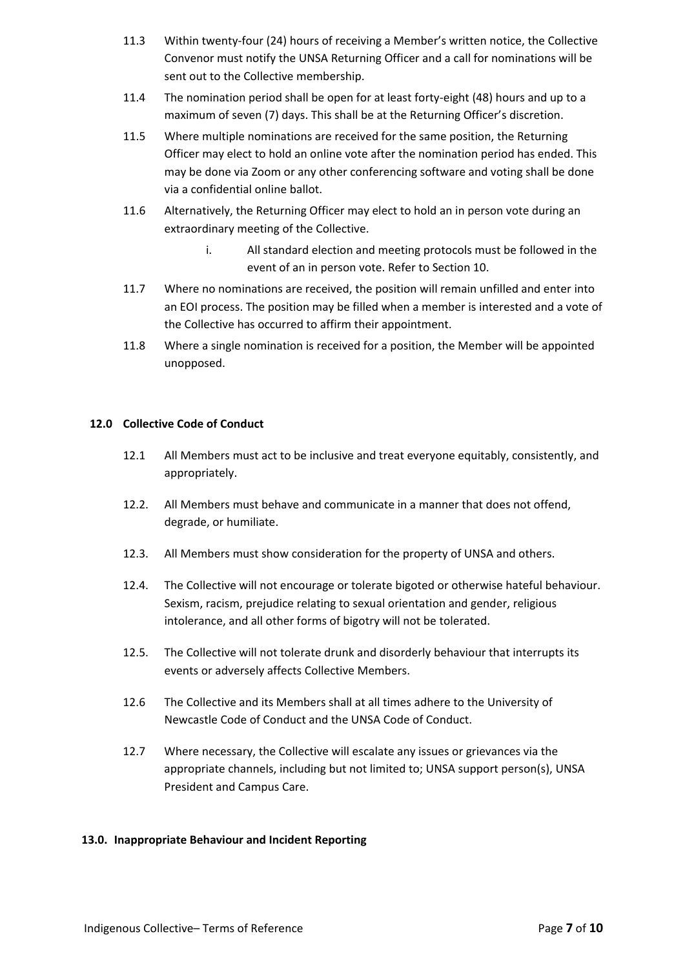- 11.3 Within twenty-four (24) hours of receiving a Member's written notice, the Collective Convenor must notify the UNSA Returning Officer and a call for nominations will be sent out to the Collective membership.
- 11.4 The nomination period shall be open for at least forty-eight (48) hours and up to a maximum of seven (7) days. This shall be at the Returning Officer's discretion.
- 11.5 Where multiple nominations are received for the same position, the Returning Officer may elect to hold an online vote after the nomination period has ended. This may be done via Zoom or any other conferencing software and voting shall be done via a confidential online ballot.
- 11.6 Alternatively, the Returning Officer may elect to hold an in person vote during an extraordinary meeting of the Collective.
	- i. All standard election and meeting protocols must be followed in the event of an in person vote. Refer to Section 10.
- 11.7 Where no nominations are received, the position will remain unfilled and enter into an EOI process. The position may be filled when a member is interested and a vote of the Collective has occurred to affirm their appointment.
- 11.8 Where a single nomination is received for a position, the Member will be appointed unopposed.

## **12.0 Collective Code of Conduct**

- 12.1 All Members must act to be inclusive and treat everyone equitably, consistently, and appropriately.
- 12.2. All Members must behave and communicate in a manner that does not offend, degrade, or humiliate.
- 12.3. All Members must show consideration for the property of UNSA and others.
- 12.4. The Collective will not encourage or tolerate bigoted or otherwise hateful behaviour. Sexism, racism, prejudice relating to sexual orientation and gender, religious intolerance, and all other forms of bigotry will not be tolerated.
- 12.5. The Collective will not tolerate drunk and disorderly behaviour that interrupts its events or adversely affects Collective Members.
- 12.6 The Collective and its Members shall at all times adhere to the University of Newcastle Code of Conduct and the UNSA Code of Conduct.
- 12.7 Where necessary, the Collective will escalate any issues or grievances via the appropriate channels, including but not limited to; UNSA support person(s), UNSA President and Campus Care.

### **13.0. Inappropriate Behaviour and Incident Reporting**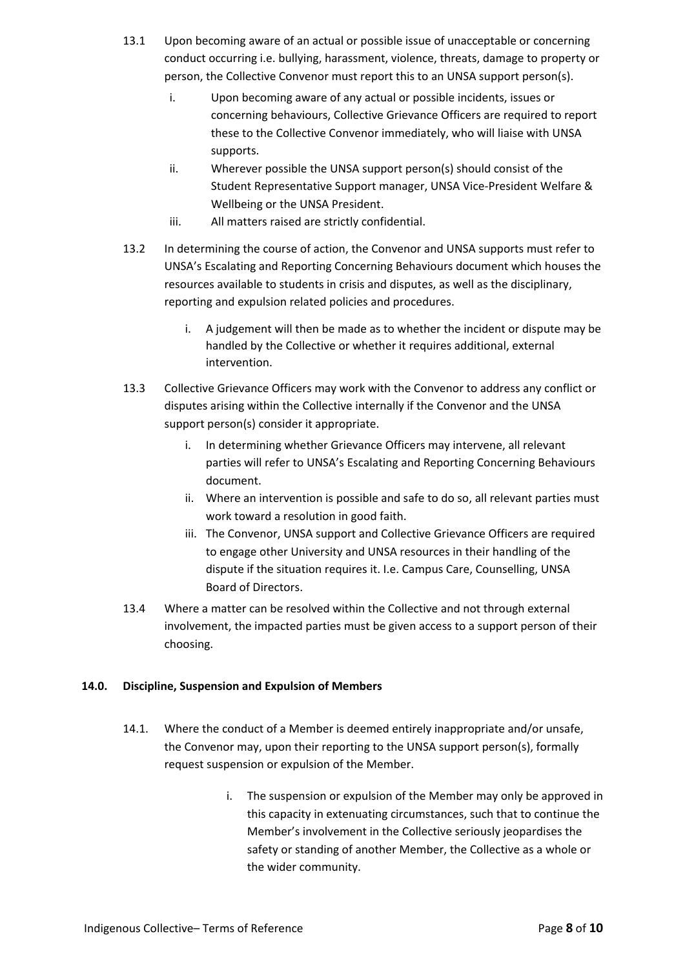- 13.1 Upon becoming aware of an actual or possible issue of unacceptable or concerning conduct occurring i.e. bullying, harassment, violence, threats, damage to property or person, the Collective Convenor must report this to an UNSA support person(s).
	- i. Upon becoming aware of any actual or possible incidents, issues or concerning behaviours, Collective Grievance Officers are required to report these to the Collective Convenor immediately, who will liaise with UNSA supports.
	- ii. Wherever possible the UNSA support person(s) should consist of the Student Representative Support manager, UNSA Vice-President Welfare & Wellbeing or the UNSA President.
	- iii. All matters raised are strictly confidential.
- 13.2 In determining the course of action, the Convenor and UNSA supports must refer to UNSA's Escalating and Reporting Concerning Behaviours document which houses the resources available to students in crisis and disputes, as well as the disciplinary, reporting and expulsion related policies and procedures.
	- i. A judgement will then be made as to whether the incident or dispute may be handled by the Collective or whether it requires additional, external intervention.
- 13.3 Collective Grievance Officers may work with the Convenor to address any conflict or disputes arising within the Collective internally if the Convenor and the UNSA support person(s) consider it appropriate.
	- i. In determining whether Grievance Officers may intervene, all relevant parties will refer to UNSA's Escalating and Reporting Concerning Behaviours document.
	- ii. Where an intervention is possible and safe to do so, all relevant parties must work toward a resolution in good faith.
	- iii. The Convenor, UNSA support and Collective Grievance Officers are required to engage other University and UNSA resources in their handling of the dispute if the situation requires it. I.e. Campus Care, Counselling, UNSA Board of Directors.
- 13.4 Where a matter can be resolved within the Collective and not through external involvement, the impacted parties must be given access to a support person of their choosing.

## **14.0. Discipline, Suspension and Expulsion of Members**

- 14.1. Where the conduct of a Member is deemed entirely inappropriate and/or unsafe, the Convenor may, upon their reporting to the UNSA support person(s), formally request suspension or expulsion of the Member.
	- i. The suspension or expulsion of the Member may only be approved in this capacity in extenuating circumstances, such that to continue the Member's involvement in the Collective seriously jeopardises the safety or standing of another Member, the Collective as a whole or the wider community.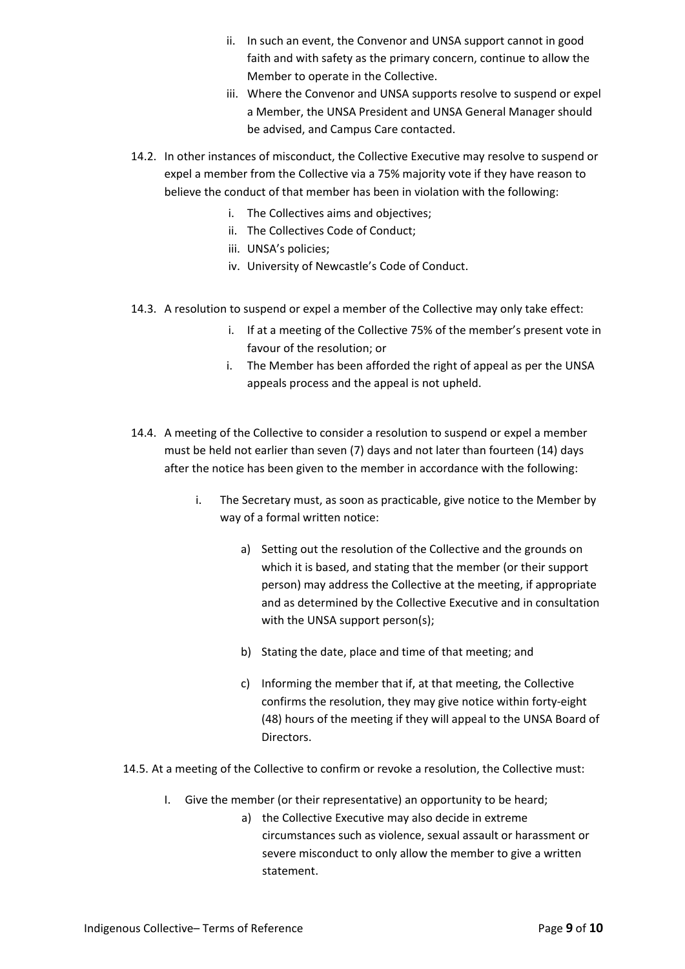- ii. In such an event, the Convenor and UNSA support cannot in good faith and with safety as the primary concern, continue to allow the Member to operate in the Collective.
- iii. Where the Convenor and UNSA supports resolve to suspend or expel a Member, the UNSA President and UNSA General Manager should be advised, and Campus Care contacted.
- 14.2. In other instances of misconduct, the Collective Executive may resolve to suspend or expel a member from the Collective via a 75% majority vote if they have reason to believe the conduct of that member has been in violation with the following:
	- i. The Collectives aims and objectives;
	- ii. The Collectives Code of Conduct;
	- iii. UNSA's policies;
	- iv. University of Newcastle's Code of Conduct.
- 14.3. A resolution to suspend or expel a member of the Collective may only take effect:
	- i. If at a meeting of the Collective 75% of the member's present vote in favour of the resolution; or
	- i. The Member has been afforded the right of appeal as per the UNSA appeals process and the appeal is not upheld.
- 14.4. A meeting of the Collective to consider a resolution to suspend or expel a member must be held not earlier than seven (7) days and not later than fourteen (14) days after the notice has been given to the member in accordance with the following:
	- i. The Secretary must, as soon as practicable, give notice to the Member by way of a formal written notice:
		- a) Setting out the resolution of the Collective and the grounds on which it is based, and stating that the member (or their support person) may address the Collective at the meeting, if appropriate and as determined by the Collective Executive and in consultation with the UNSA support person(s);
		- b) Stating the date, place and time of that meeting; and
		- c) Informing the member that if, at that meeting, the Collective confirms the resolution, they may give notice within forty-eight (48) hours of the meeting if they will appeal to the UNSA Board of Directors.
- 14.5. At a meeting of the Collective to confirm or revoke a resolution, the Collective must:
	- I. Give the member (or their representative) an opportunity to be heard;
		- a) the Collective Executive may also decide in extreme circumstances such as violence, sexual assault or harassment or severe misconduct to only allow the member to give a written statement.